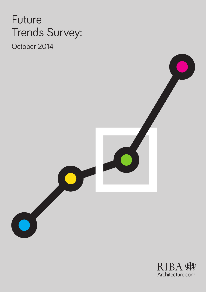# Future Trends Survey:

October 2014



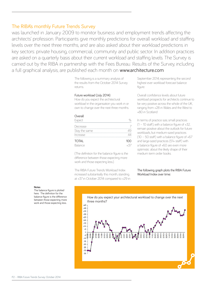was launched in January 2009 to monitor business and employment trends affecting the architects' profession. Participants give monthly predictions for overall workload and staffing levels over the next three months, and are also asked about their workload predictions in key sectors: private housing, commercial, community and public sector. In addition practices are asked on a quarterly basis about their current workload and staffing levels. The Survey is carried out by the RIBA in partnership with the Fees Bureau. Results of the Survey, including a full graphical analysis, are published each month on www.architecture.com

> The following is a summary analysis of the results from the October 2014 Survey returns.

#### Future workload (July 2014)

How do you expect the architectural workload in the organisation you work in or own to change over the next three months.

## **Overall**

| Expect        |     |
|---------------|-----|
| Decrease      |     |
| Stay the same |     |
| Increase      |     |
| <b>TOTAL</b>  | 100 |
| Balance       |     |

(The definition for the balance figure is the difference between those expecting more work and those expecting less.).

The RIBA Future Trends Workload Index increased substantially this month, standing at +37 in October 2014 compared to +29 in

September 2014, representing the second highest ever workload forecast balance figure.

Overall confidence levels about future workload prospects for architects continue to be very positive across the whole of the UK, ranging from +28 in Wales and the West to +80 in Scotland.

In terms of practice size, small practices  $(1 - 10 \text{ staff})$ , with a balance figure of  $+32$ . remain positive about the outlook for future workloads, but medium-sized practices  $(10 - 50$  staff) with a balance figure of  $+67$ and large-sized practices (51+ staff) with a balance figure of +60 are even more optimistic about the likely shape of their medium term order books.

## The following graph plots the RIBA Future Workload Index over time:

## **Notes**

The balance figure is plotted here. The definition for the balance figure is the difference between those expecting more work and those expecting less.

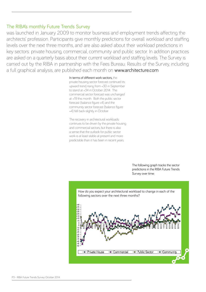was launched in January 2009 to monitor business and employment trends affecting the architects' profession. Participants give monthly predictions for overall workload and staffing levels over the next three months, and are also asked about their workload predictions in key sectors: private housing, commercial, community and public sector. In addition practices are asked on a quarterly basis about their current workload and staffing levels. The Survey is carried out by the RIBA in partnership with the Fees Bureau. Results of the Survey, including a full graphical analysis, are published each month on www.architecture.com

## In terms of different work sectors, the

private housing sector forecast continued its upward trend, rising from +30 in September to stand at +34 in October 2014. The commercial sector forecast was unchanged at +19 this month. Both the public sector forecast (balance figure +4) and the community sector forecast (balance figure +4) fell back slightly in October.

The recovery in architectural workloads continues to be driven by the private housing and commercial sectors, but there is also a sense that the outlook for public sector work is at least stable at present and more predictable than it has been in recent years.

> The following graph tracks the sector predictions in the RIBA Future Trends Survey over time:

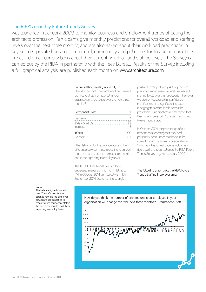was launched in January 2009 to monitor business and employment trends affecting the architects' profession. Participants give monthly predictions for overall workload and staffing levels over the next three months, and are also asked about their workload predictions in key sectors: private housing, commercial, community and public sector. In addition practices are asked on a quarterly basis about their current workload and staffing levels. The Survey is carried out by the RIBA in partnership with the Fees Bureau. Results of the Survey, including a full graphical analysis, are published each month on www.architecture.com

#### Future staffing levels (July 2014)

How do you think the number of permanent architectural staff employed in your organisation will change over the next three months?

| Permanent Staff | ℀   |
|-----------------|-----|
| Decrease        |     |
| Stay the same   |     |
| Increase        | 18  |
| <b>TOTAL</b>    | 100 |
| Balance         |     |

(The definition for the balance figure is the difference between those expecting to employ more permanent staff in the next three months and those expecting to employ fewer.)

The RIBA Future Trends Staffing Index decreased marginally this month, falling to +14 in October 2014 compared with +15 in September 2014, but remaining strongly in

positive territory, with only 4% of practices predicting a decrease in overall permanent staffing levels over the next quarter. However, we are not yet seeing this confidence manifest itself in a significant increase in aggregate staffing levels across the profession. Our practices overall report that their workforce is just 2% larger than it was twelve months ago.

In October 2014, the percentage of our respondents reporting that they had personally been under-employed in the current month was down considerably to 12%; this is the lowest under-employment figure we have reported since the RIBA Future Trends Survey began in January 2009.

## The following graph plots the RIBA Future Trends Staffing Index over time:

#### **Notes**

The balance figure is plotted here. The definition for the balance figure is the difference between those expecting to employ more permanent staff in the next three months and those expecting to employ fewer

How do you think the number of architectural staff employed in your organisation will change over the next three months? - Permanent Staff